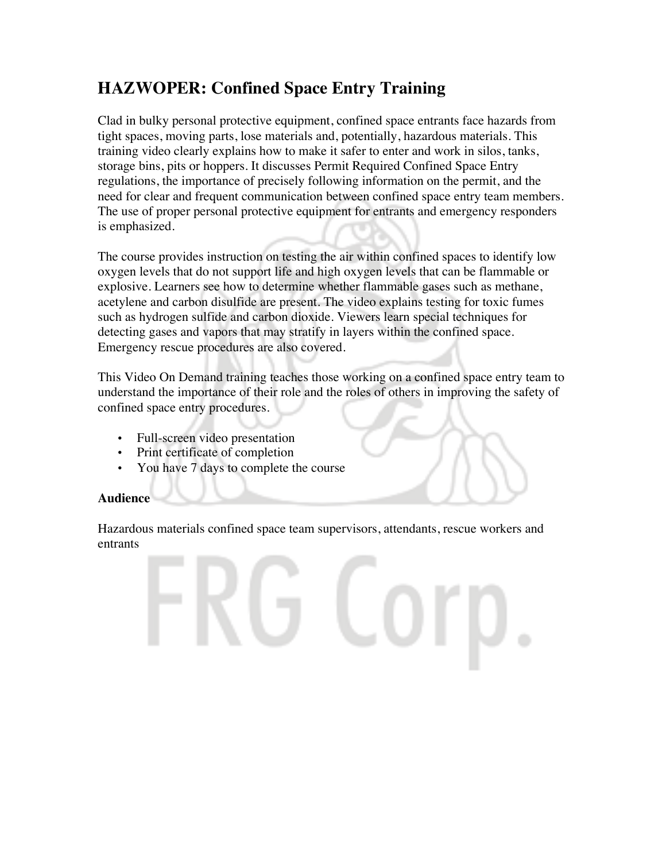## **HAZWOPER: Confined Space Entry Training**

Clad in bulky personal protective equipment, confined space entrants face hazards from tight spaces, moving parts, lose materials and, potentially, hazardous materials. This training video clearly explains how to make it safer to enter and work in silos, tanks, storage bins, pits or hoppers. It discusses Permit Required Confined Space Entry regulations, the importance of precisely following information on the permit, and the need for clear and frequent communication between confined space entry team members. The use of proper personal protective equipment for entrants and emergency responders is emphasized.

The course provides instruction on testing the air within confined spaces to identify low oxygen levels that do not support life and high oxygen levels that can be flammable or explosive. Learners see how to determine whether flammable gases such as methane, acetylene and carbon disulfide are present. The video explains testing for toxic fumes such as hydrogen sulfide and carbon dioxide. Viewers learn special techniques for detecting gases and vapors that may stratify in layers within the confined space. Emergency rescue procedures are also covered.

This Video On Demand training teaches those working on a confined space entry team to understand the importance of their role and the roles of others in improving the safety of confined space entry procedures.

- Full-screen video presentation
- Print certificate of completion
- You have 7 days to complete the course

## **Audience**

Hazardous materials confined space team supervisors, attendants, rescue workers and entrants